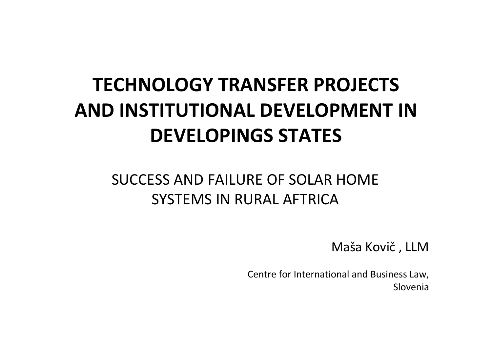#### **TECHNOLOGY TRANSFER PROJECTS AND INSTITUTIONAL DEVELOPMENT INDEVELOPINGS STATES**

#### SUCCESS AND FAILURE OF SOLAR HOME SYSTEMS IN RURAL AFTRICA

Maša Kovič , LLM

Centre for International and Business Law, Slovenia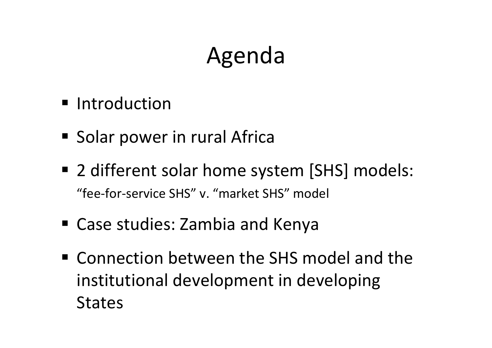## Agenda

- **Introduction**
- **Solar power in rural Africa**
- 2 different solar home system [SHS] models: "fee‐for‐service SHS" v. "market SHS" model
- Case studies: Zambia and Kenya
- Connection between the SHS model and the institutional development in developing **States**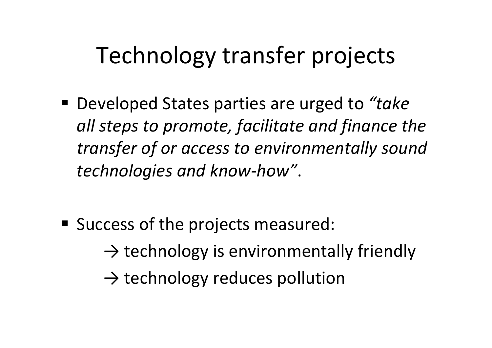# Technology transfer projects

 Developed States parties are urged to *"take all steps to promote, facilitate and finance the transfer of or access to environmentally sound technologies and know‐how"*.

- **Success of the projects measured:** 
	- $\rightarrow$  technology is environmentally friendly
	- $\rightarrow$  technology reduces pollution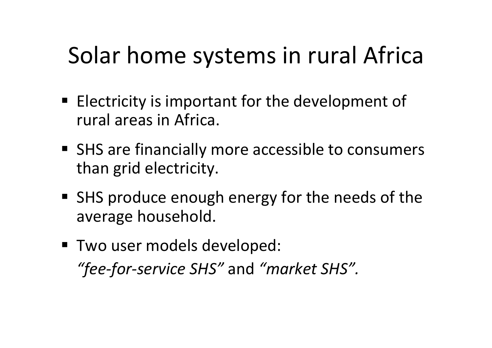# Solar home systems in rural Africa

- $\blacksquare$  Electricity is important for the development of rural areas in Africa.
- **SHS are financially more accessible to consumers** than grid electricity.
- SHS produce enough energy for the needs of the average household.
- Two user models developed: *"fee‐for‐service SHS"* and *"market SHS".*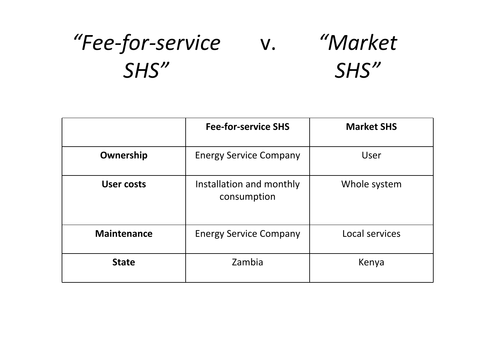#### *"Fee‐for‐service SHS""Market SHS"* v.

|                    | <b>Fee-for-service SHS</b>              | <b>Market SHS</b> |
|--------------------|-----------------------------------------|-------------------|
| Ownership          | <b>Energy Service Company</b>           | <b>User</b>       |
| <b>User costs</b>  | Installation and monthly<br>consumption | Whole system      |
| <b>Maintenance</b> | <b>Energy Service Company</b>           | Local services    |
| <b>State</b>       | Zambia                                  | Kenya             |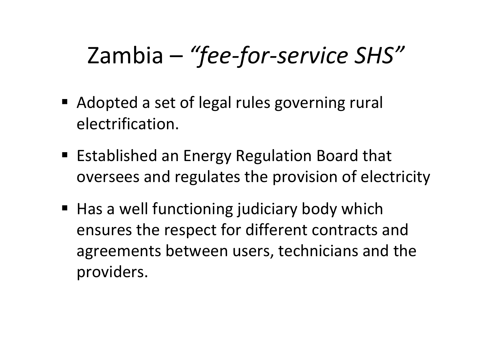# Zambia – *"fee‐for‐service SHS"*

- Adopted a set of legal rules governing rural electrification.
- **Established an Energy Regulation Board that** oversees and regulates the provision of electricity
- Has a well functioning judiciary body which ensures the respect for different contracts and agreements between users, technicians and the providers.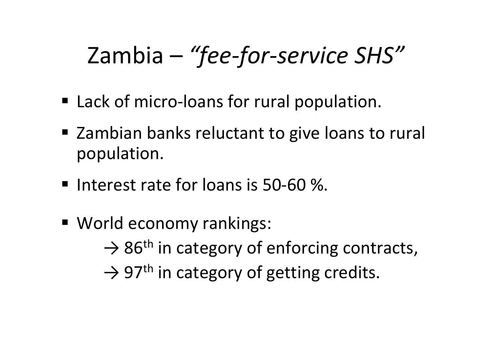# Zambia – *"fee‐for‐service SHS"*

- Lack of micro-loans for rural population.
- **Exambian banks reluctant to give loans to rural** population.
- Interest rate for loans is 50-60 %.
- World economy rankings:  $\rightarrow$  86<sup>th</sup> in category of enforcing contracts,  $\rightarrow$  97<sup>th</sup> in category of getting credits.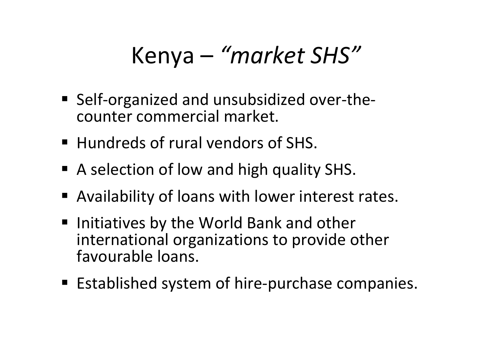#### Kenya – *"market SHS"*

- Self-organized and unsubsidized over-thecounter commercial market.
- **Hundreds of rural vendors of SHS.**
- A selection of low and high quality SHS.
- Availability of loans with lower interest rates.
- **Initiatives by the World Bank and other** international organizations to provide other favourable loans.
- Established system of hire-purchase companies.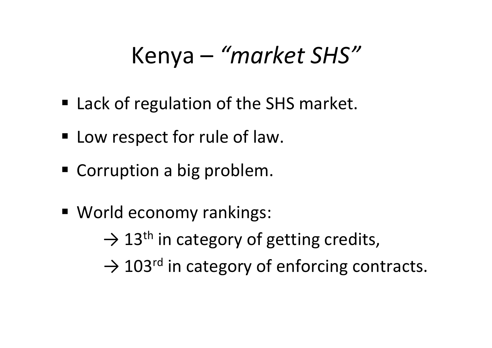#### Kenya – *"market SHS"*

- Lack of regulation of the SHS market.
- **E** Low respect for rule of law.
- **Corruption a big problem.**
- World economy rankings:

 $\rightarrow$  13<sup>th</sup> in category of getting credits,

 $\rightarrow$  103<sup>rd</sup> in category of enforcing contracts.